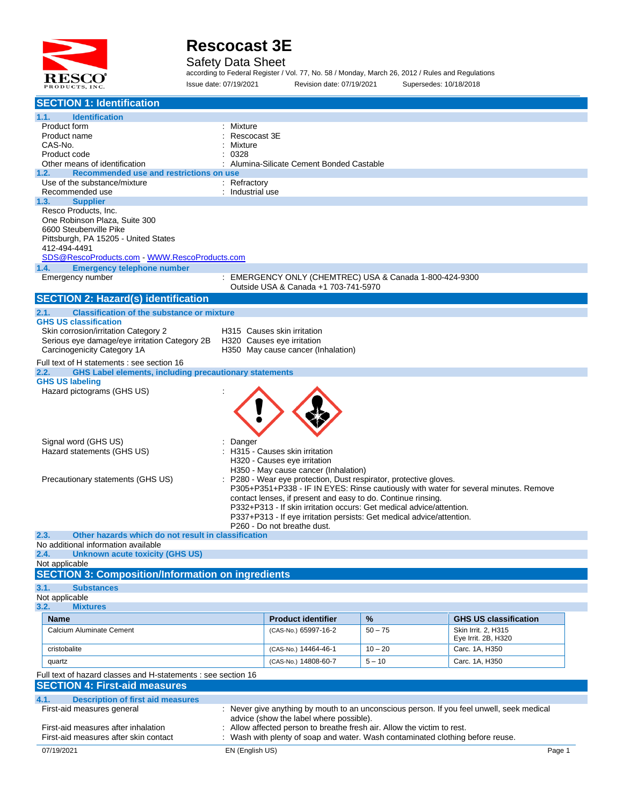

#### Safety Data Sheet

according to Federal Register / Vol. 77, No. 58 / Monday, March 26, 2012 / Rules and Regulations Issue date: 07/19/2021 Revision date: 07/19/2021 Supersedes: 10/18/2018

| <b>SECTION 1: Identification</b>                                                                                                                                   |                               |                                                                                                                                      |           |                                                                                      |        |
|--------------------------------------------------------------------------------------------------------------------------------------------------------------------|-------------------------------|--------------------------------------------------------------------------------------------------------------------------------------|-----------|--------------------------------------------------------------------------------------|--------|
| 1.1.<br><b>Identification</b>                                                                                                                                      |                               |                                                                                                                                      |           |                                                                                      |        |
| Product form                                                                                                                                                       | Mixture                       |                                                                                                                                      |           |                                                                                      |        |
| Product name                                                                                                                                                       | Rescocast 3E                  |                                                                                                                                      |           |                                                                                      |        |
| CAS-No.                                                                                                                                                            | Mixture                       |                                                                                                                                      |           |                                                                                      |        |
| Product code                                                                                                                                                       | 0328                          |                                                                                                                                      |           |                                                                                      |        |
| Other means of identification<br>1.2.<br>Recommended use and restrictions on use                                                                                   |                               | Alumina-Silicate Cement Bonded Castable                                                                                              |           |                                                                                      |        |
| Use of the substance/mixture                                                                                                                                       | : Refractory                  |                                                                                                                                      |           |                                                                                      |        |
| Recommended use                                                                                                                                                    | : Industrial use              |                                                                                                                                      |           |                                                                                      |        |
| 1.3.<br><b>Supplier</b>                                                                                                                                            |                               |                                                                                                                                      |           |                                                                                      |        |
| Resco Products, Inc.                                                                                                                                               |                               |                                                                                                                                      |           |                                                                                      |        |
| One Robinson Plaza, Suite 300                                                                                                                                      |                               |                                                                                                                                      |           |                                                                                      |        |
| 6600 Steubenville Pike                                                                                                                                             |                               |                                                                                                                                      |           |                                                                                      |        |
| Pittsburgh, PA 15205 - United States<br>412-494-4491                                                                                                               |                               |                                                                                                                                      |           |                                                                                      |        |
| SDS@RescoProducts.com WWW.RescoProducts.com                                                                                                                        |                               |                                                                                                                                      |           |                                                                                      |        |
| 1.4.<br><b>Emergency telephone number</b>                                                                                                                          |                               |                                                                                                                                      |           |                                                                                      |        |
| Emergency number                                                                                                                                                   |                               | : EMERGENCY ONLY (CHEMTREC) USA & Canada 1-800-424-9300                                                                              |           |                                                                                      |        |
|                                                                                                                                                                    |                               | Outside USA & Canada +1 703-741-5970                                                                                                 |           |                                                                                      |        |
| <b>SECTION 2: Hazard(s) identification</b>                                                                                                                         |                               |                                                                                                                                      |           |                                                                                      |        |
| <b>Classification of the substance or mixture</b><br>2.1.                                                                                                          |                               |                                                                                                                                      |           |                                                                                      |        |
| <b>GHS US classification</b>                                                                                                                                       |                               |                                                                                                                                      |           |                                                                                      |        |
| Skin corrosion/irritation Category 2                                                                                                                               |                               | H315 Causes skin irritation                                                                                                          |           |                                                                                      |        |
| Serious eye damage/eye irritation Category 2B                                                                                                                      |                               | H320 Causes eye irritation                                                                                                           |           |                                                                                      |        |
| Carcinogenicity Category 1A                                                                                                                                        |                               | H350 May cause cancer (Inhalation)                                                                                                   |           |                                                                                      |        |
| Full text of H statements : see section 16                                                                                                                         |                               |                                                                                                                                      |           |                                                                                      |        |
| <b>GHS Label elements, including precautionary statements</b><br>2.2.                                                                                              |                               |                                                                                                                                      |           |                                                                                      |        |
| <b>GHS US labeling</b><br>Hazard pictograms (GHS US)                                                                                                               |                               |                                                                                                                                      |           |                                                                                      |        |
|                                                                                                                                                                    |                               |                                                                                                                                      |           |                                                                                      |        |
|                                                                                                                                                                    |                               |                                                                                                                                      |           |                                                                                      |        |
|                                                                                                                                                                    |                               |                                                                                                                                      |           |                                                                                      |        |
|                                                                                                                                                                    |                               |                                                                                                                                      |           |                                                                                      |        |
| Signal word (GHS US)                                                                                                                                               | Danger                        |                                                                                                                                      |           |                                                                                      |        |
| Hazard statements (GHS US)                                                                                                                                         | H315 - Causes skin irritation |                                                                                                                                      |           |                                                                                      |        |
|                                                                                                                                                                    |                               | H320 - Causes eye irritation                                                                                                         |           |                                                                                      |        |
|                                                                                                                                                                    |                               | H350 - May cause cancer (Inhalation)                                                                                                 |           |                                                                                      |        |
| Precautionary statements (GHS US)                                                                                                                                  |                               | P280 - Wear eye protection, Dust respirator, protective gloves.                                                                      |           |                                                                                      |        |
|                                                                                                                                                                    |                               |                                                                                                                                      |           | P305+P351+P338 - IF IN EYES: Rinse cautiously with water for several minutes. Remove |        |
|                                                                                                                                                                    |                               | contact lenses, if present and easy to do. Continue rinsing.<br>P332+P313 - If skin irritation occurs: Get medical advice/attention. |           |                                                                                      |        |
|                                                                                                                                                                    |                               |                                                                                                                                      |           |                                                                                      |        |
| P337+P313 - If eye irritation persists: Get medical advice/attention.<br>P260 - Do not breathe dust.                                                               |                               |                                                                                                                                      |           |                                                                                      |        |
| 2.3.<br>Other hazards which do not result in classification                                                                                                        |                               |                                                                                                                                      |           |                                                                                      |        |
| No additional information available                                                                                                                                |                               |                                                                                                                                      |           |                                                                                      |        |
| 2.4. Unknown acute toxicity (GHS US)<br>Not applicable                                                                                                             |                               |                                                                                                                                      |           |                                                                                      |        |
| <b>SECTION 3: Composition/Information on ingredients</b>                                                                                                           |                               |                                                                                                                                      |           |                                                                                      |        |
|                                                                                                                                                                    |                               |                                                                                                                                      |           |                                                                                      |        |
| 3.1.<br><b>Substances</b><br>Not applicable                                                                                                                        |                               |                                                                                                                                      |           |                                                                                      |        |
| 3.2.<br><b>Mixtures</b>                                                                                                                                            |                               |                                                                                                                                      |           |                                                                                      |        |
| <b>Name</b>                                                                                                                                                        |                               | <b>Product identifier</b>                                                                                                            | $\%$      | <b>GHS US classification</b>                                                         |        |
| Calcium Aluminate Cement                                                                                                                                           |                               | (CAS-No.) 65997-16-2                                                                                                                 | $50 - 75$ | Skin Irrit. 2, H315                                                                  |        |
|                                                                                                                                                                    |                               |                                                                                                                                      |           | Eye Irrit. 2B, H320                                                                  |        |
| cristobalite                                                                                                                                                       |                               | (CAS-No.) 14464-46-1                                                                                                                 | $10 - 20$ | Carc. 1A, H350                                                                       |        |
| quartz                                                                                                                                                             |                               | (CAS-No.) 14808-60-7                                                                                                                 | $5 - 10$  | Carc. 1A, H350                                                                       |        |
|                                                                                                                                                                    |                               |                                                                                                                                      |           |                                                                                      |        |
| Full text of hazard classes and H-statements : see section 16<br><b>SECTION 4: First-aid measures</b>                                                              |                               |                                                                                                                                      |           |                                                                                      |        |
|                                                                                                                                                                    |                               |                                                                                                                                      |           |                                                                                      |        |
| 4.1.<br><b>Description of first aid measures</b>                                                                                                                   |                               |                                                                                                                                      |           |                                                                                      |        |
| First-aid measures general<br>: Never give anything by mouth to an unconscious person. If you feel unwell, seek medical<br>advice (show the label where possible). |                               |                                                                                                                                      |           |                                                                                      |        |
| First-aid measures after inhalation                                                                                                                                |                               | Allow affected person to breathe fresh air. Allow the victim to rest.                                                                |           |                                                                                      |        |
| First-aid measures after skin contact                                                                                                                              |                               |                                                                                                                                      |           | Wash with plenty of soap and water. Wash contaminated clothing before reuse.         |        |
| 07/19/2021                                                                                                                                                         |                               |                                                                                                                                      |           |                                                                                      |        |
|                                                                                                                                                                    | EN (English US)               |                                                                                                                                      |           |                                                                                      | Page 1 |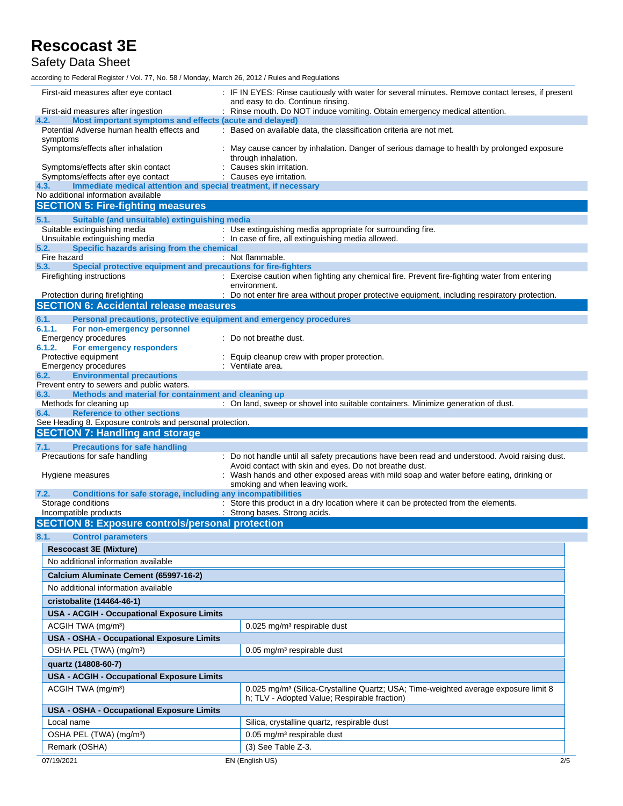Safety Data Sheet

according to Federal Register / Vol. 77, No. 58 / Monday, March 26, 2012 / Rules and Regulations

| First-aid measures after eye contact                                                                                 | : IF IN EYES: Rinse cautiously with water for several minutes. Remove contact lenses, if present                  |  |  |
|----------------------------------------------------------------------------------------------------------------------|-------------------------------------------------------------------------------------------------------------------|--|--|
| First-aid measures after ingestion                                                                                   | and easy to do. Continue rinsing.<br>: Rinse mouth. Do NOT induce vomiting. Obtain emergency medical attention.   |  |  |
| Most important symptoms and effects (acute and delayed)<br>4.2.                                                      |                                                                                                                   |  |  |
| Potential Adverse human health effects and<br>symptoms                                                               | : Based on available data, the classification criteria are not met.                                               |  |  |
| Symptoms/effects after inhalation                                                                                    | : May cause cancer by inhalation. Danger of serious damage to health by prolonged exposure<br>through inhalation. |  |  |
| Symptoms/effects after skin contact                                                                                  | : Causes skin irritation.                                                                                         |  |  |
| Symptoms/effects after eye contact<br>Immediate medical attention and special treatment, if necessary<br>4.3.        | : Causes eye irritation.                                                                                          |  |  |
| No additional information available                                                                                  |                                                                                                                   |  |  |
| <b>SECTION 5: Fire-fighting measures</b>                                                                             |                                                                                                                   |  |  |
| 5.1.<br>Suitable (and unsuitable) extinguishing media                                                                |                                                                                                                   |  |  |
| Suitable extinguishing media                                                                                         | : Use extinguishing media appropriate for surrounding fire.                                                       |  |  |
| Unsuitable extinguishing media                                                                                       | : In case of fire, all extinguishing media allowed.                                                               |  |  |
| 5.2.<br>Specific hazards arising from the chemical<br>Fire hazard                                                    | : Not flammable.                                                                                                  |  |  |
| Special protective equipment and precautions for fire-fighters<br>5.3.                                               |                                                                                                                   |  |  |
| Firefighting instructions                                                                                            | : Exercise caution when fighting any chemical fire. Prevent fire-fighting water from entering                     |  |  |
|                                                                                                                      | environment.                                                                                                      |  |  |
| Protection during firefighting<br><b>SECTION 6: Accidental release measures</b>                                      | : Do not enter fire area without proper protective equipment, including respiratory protection.                   |  |  |
|                                                                                                                      |                                                                                                                   |  |  |
| 6.1.<br>Personal precautions, protective equipment and emergency procedures<br>6.1.1.<br>For non-emergency personnel |                                                                                                                   |  |  |
| Emergency procedures                                                                                                 | : Do not breathe dust.                                                                                            |  |  |
| 6.1.2.<br>For emergency responders                                                                                   |                                                                                                                   |  |  |
| Protective equipment                                                                                                 | Equip cleanup crew with proper protection.                                                                        |  |  |
| Emergency procedures<br><b>Environmental precautions</b><br>6.2.                                                     | : Ventilate area.                                                                                                 |  |  |
| Prevent entry to sewers and public waters.                                                                           |                                                                                                                   |  |  |
| Methods and material for containment and cleaning up<br>6.3.                                                         |                                                                                                                   |  |  |
| Methods for cleaning up<br><b>Reference to other sections</b>                                                        | : On land, sweep or shovel into suitable containers. Minimize generation of dust.                                 |  |  |
| 6.4.<br>See Heading 8. Exposure controls and personal protection.                                                    |                                                                                                                   |  |  |
| <b>SECTION 7: Handling and storage</b>                                                                               |                                                                                                                   |  |  |
| <b>Precautions for safe handling</b><br>7.1.                                                                         |                                                                                                                   |  |  |
| Precautions for safe handling                                                                                        | : Do not handle until all safety precautions have been read and understood. Avoid raising dust.                   |  |  |
|                                                                                                                      | Avoid contact with skin and eyes. Do not breathe dust.                                                            |  |  |
|                                                                                                                      |                                                                                                                   |  |  |
| Hygiene measures                                                                                                     | Wash hands and other exposed areas with mild soap and water before eating, drinking or                            |  |  |
|                                                                                                                      | smoking and when leaving work.                                                                                    |  |  |
| Conditions for safe storage, including any incompatibilities<br>7.2.<br>Storage conditions                           | : Store this product in a dry location where it can be protected from the elements.                               |  |  |
| Incompatible products                                                                                                | : Strong bases. Strong acids.                                                                                     |  |  |
| <b>SECTION 8: Exposure controls/personal protection</b>                                                              |                                                                                                                   |  |  |
| 8.1.<br><b>Control parameters</b>                                                                                    |                                                                                                                   |  |  |
| <b>Rescocast 3E (Mixture)</b>                                                                                        |                                                                                                                   |  |  |
| No additional information available                                                                                  |                                                                                                                   |  |  |
| Calcium Aluminate Cement (65997-16-2)                                                                                |                                                                                                                   |  |  |
| No additional information available                                                                                  |                                                                                                                   |  |  |
|                                                                                                                      |                                                                                                                   |  |  |
| cristobalite (14464-46-1)                                                                                            |                                                                                                                   |  |  |
| USA - ACGIH - Occupational Exposure Limits                                                                           |                                                                                                                   |  |  |
| ACGIH TWA (mg/m <sup>3</sup> )                                                                                       | 0.025 mg/m <sup>3</sup> respirable dust                                                                           |  |  |
| USA - OSHA - Occupational Exposure Limits                                                                            |                                                                                                                   |  |  |
| OSHA PEL (TWA) (mg/m <sup>3</sup> )                                                                                  | $0.05$ mg/m <sup>3</sup> respirable dust                                                                          |  |  |
| quartz (14808-60-7)                                                                                                  |                                                                                                                   |  |  |
| USA - ACGIH - Occupational Exposure Limits                                                                           |                                                                                                                   |  |  |
| ACGIH TWA (mg/m <sup>3</sup> )                                                                                       | 0.025 mg/m <sup>3</sup> (Silica-Crystalline Quartz; USA; Time-weighted average exposure limit 8                   |  |  |
|                                                                                                                      | h; TLV - Adopted Value; Respirable fraction)                                                                      |  |  |
| <b>USA - OSHA - Occupational Exposure Limits</b>                                                                     |                                                                                                                   |  |  |
| Local name                                                                                                           | Silica, crystalline quartz, respirable dust                                                                       |  |  |
| OSHA PEL (TWA) (mg/m <sup>3</sup> )                                                                                  | 0.05 mg/m <sup>3</sup> respirable dust                                                                            |  |  |
| Remark (OSHA)<br>07/19/2021                                                                                          | $(3)$ See Table Z-3.<br>EN (English US)<br>2/5                                                                    |  |  |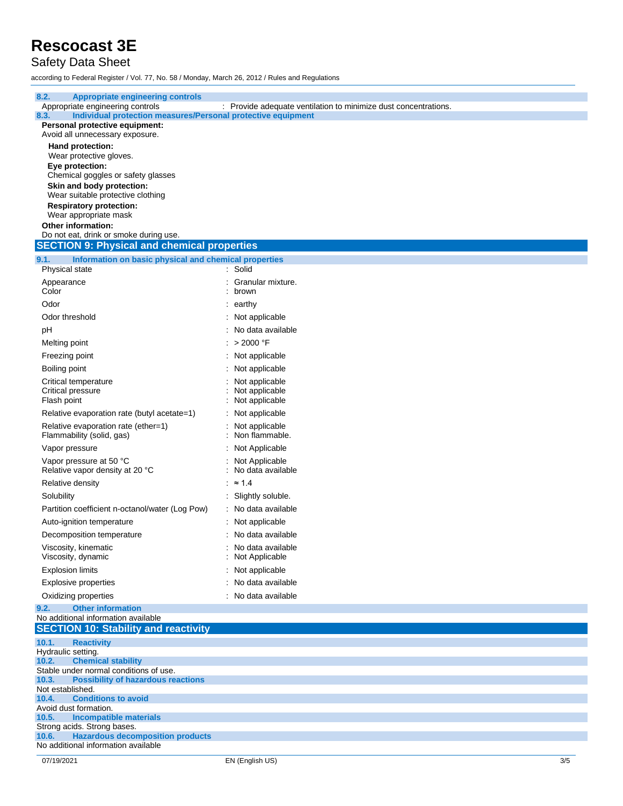### Safety Data Sheet

**8.2. Appropriate engineering controls**

according to Federal Register / Vol. 77, No. 58 / Monday, March 26, 2012 / Rules and Regulations

| Appropriate engineering controls                                     | : Provide adequate ventilation to minimize dust concentrations. |     |
|----------------------------------------------------------------------|-----------------------------------------------------------------|-----|
| Individual protection measures/Personal protective equipment<br>8.3. |                                                                 |     |
| Personal protective equipment:                                       |                                                                 |     |
| Avoid all unnecessary exposure.                                      |                                                                 |     |
| Hand protection:                                                     |                                                                 |     |
| Wear protective gloves.<br>Eye protection:                           |                                                                 |     |
| Chemical goggles or safety glasses                                   |                                                                 |     |
| Skin and body protection:                                            |                                                                 |     |
| Wear suitable protective clothing                                    |                                                                 |     |
| <b>Respiratory protection:</b>                                       |                                                                 |     |
| Wear appropriate mask                                                |                                                                 |     |
| Other information:                                                   |                                                                 |     |
| Do not eat, drink or smoke during use.                               |                                                                 |     |
| <b>SECTION 9: Physical and chemical properties</b>                   |                                                                 |     |
| 9.1.<br>Information on basic physical and chemical properties        |                                                                 |     |
| Physical state                                                       | : Solid                                                         |     |
| Appearance                                                           | Granular mixture.                                               |     |
| Color                                                                | brown                                                           |     |
| Odor                                                                 | : earthy                                                        |     |
| Odor threshold                                                       | Not applicable                                                  |     |
| рH                                                                   | No data available                                               |     |
|                                                                      |                                                                 |     |
| Melting point                                                        | > 2000 °F                                                       |     |
| Freezing point                                                       | Not applicable                                                  |     |
| Boiling point                                                        | Not applicable                                                  |     |
| Critical temperature                                                 | Not applicable                                                  |     |
| Critical pressure                                                    | Not applicable                                                  |     |
| Flash point                                                          | Not applicable                                                  |     |
| Relative evaporation rate (butyl acetate=1)                          | Not applicable                                                  |     |
| Relative evaporation rate (ether=1)                                  | Not applicable                                                  |     |
| Flammability (solid, gas)                                            | Non flammable.                                                  |     |
| Vapor pressure                                                       | Not Applicable                                                  |     |
| Vapor pressure at 50 °C                                              | Not Applicable                                                  |     |
| Relative vapor density at 20 °C                                      | No data available                                               |     |
| Relative density                                                     | $\approx$ 1.4                                                   |     |
|                                                                      |                                                                 |     |
| Solubility                                                           | Slightly soluble.                                               |     |
| Partition coefficient n-octanol/water (Log Pow)                      | : No data available                                             |     |
| Auto-ignition temperature                                            | Not applicable                                                  |     |
| Decomposition temperature                                            | No data available                                               |     |
| Viscosity, kinematic                                                 | No data available                                               |     |
| Viscosity, dynamic                                                   | Not Applicable                                                  |     |
| <b>Explosion limits</b>                                              | : Not applicable                                                |     |
| Explosive properties                                                 | No data available                                               |     |
| Oxidizing properties                                                 | No data available                                               |     |
| <b>Other information</b><br>9.2.                                     |                                                                 |     |
| No additional information available                                  |                                                                 |     |
| <b>SECTION 10: Stability and reactivity</b>                          |                                                                 |     |
| 10.1.<br><b>Reactivity</b>                                           |                                                                 |     |
| Hydraulic setting.                                                   |                                                                 |     |
| <b>Chemical stability</b><br>10.2.                                   |                                                                 |     |
| Stable under normal conditions of use.                               |                                                                 |     |
| <b>Possibility of hazardous reactions</b><br>10.3.                   |                                                                 |     |
| Not established.<br><b>Conditions to avoid</b><br>10.4.              |                                                                 |     |
| Avoid dust formation.                                                |                                                                 |     |
| 10.5.<br><b>Incompatible materials</b>                               |                                                                 |     |
| Strong acids. Strong bases.                                          |                                                                 |     |
| <b>Hazardous decomposition products</b><br>10.6.                     |                                                                 |     |
| No additional information available                                  |                                                                 |     |
| 07/19/2021                                                           | EN (English US)                                                 | 3/5 |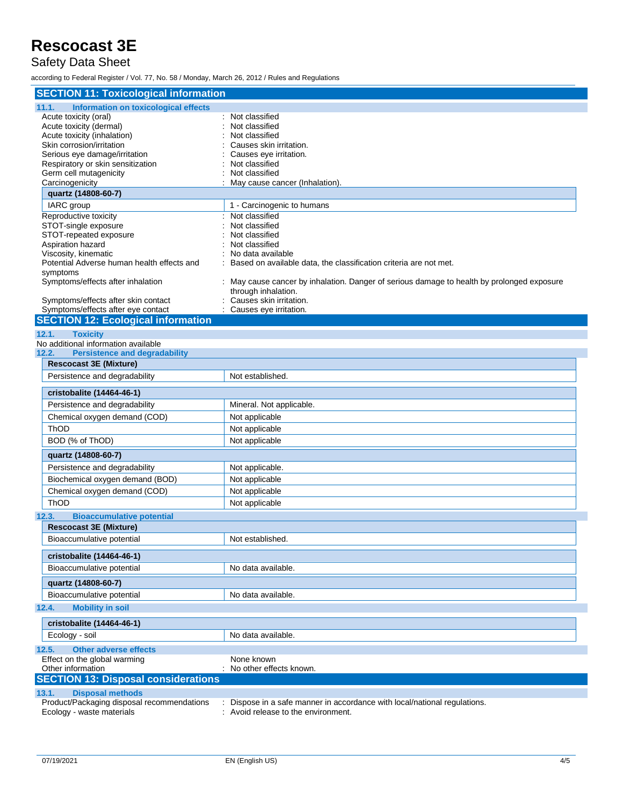#### Safety Data Sheet

according to Federal Register / Vol. 77, No. 58 / Monday, March 26, 2012 / Rules and Regulations

| <b>SECTION 11: Toxicological information</b>  |                                                                                            |  |  |  |
|-----------------------------------------------|--------------------------------------------------------------------------------------------|--|--|--|
| 11.1.<br>Information on toxicological effects |                                                                                            |  |  |  |
| Acute toxicity (oral)                         | : Not classified                                                                           |  |  |  |
| Acute toxicity (dermal)                       | Not classified                                                                             |  |  |  |
| Acute toxicity (inhalation)                   | Not classified                                                                             |  |  |  |
| Skin corrosion/irritation                     | Causes skin irritation.                                                                    |  |  |  |
| Serious eye damage/irritation                 | Causes eye irritation.                                                                     |  |  |  |
| Respiratory or skin sensitization             | Not classified                                                                             |  |  |  |
| Germ cell mutagenicity                        | Not classified                                                                             |  |  |  |
| Carcinogenicity<br>quartz (14808-60-7)        | May cause cancer (Inhalation).                                                             |  |  |  |
| IARC group                                    |                                                                                            |  |  |  |
| Reproductive toxicity                         | 1 - Carcinogenic to humans<br>Not classified                                               |  |  |  |
| STOT-single exposure                          | Not classified                                                                             |  |  |  |
| STOT-repeated exposure                        | Not classified                                                                             |  |  |  |
| Aspiration hazard                             | Not classified                                                                             |  |  |  |
| Viscosity, kinematic                          | No data available                                                                          |  |  |  |
| Potential Adverse human health effects and    | Based on available data, the classification criteria are not met.                          |  |  |  |
| symptoms                                      |                                                                                            |  |  |  |
| Symptoms/effects after inhalation             | : May cause cancer by inhalation. Danger of serious damage to health by prolonged exposure |  |  |  |
| Symptoms/effects after skin contact           | through inhalation.<br>Causes skin irritation.                                             |  |  |  |
| Symptoms/effects after eye contact            | Causes eye irritation.                                                                     |  |  |  |
| <b>SECTION 12: Ecological information</b>     |                                                                                            |  |  |  |
| 12.1.<br><b>Toxicity</b>                      |                                                                                            |  |  |  |
| No additional information available           |                                                                                            |  |  |  |
| 12.2.<br><b>Persistence and degradability</b> |                                                                                            |  |  |  |
| <b>Rescocast 3E (Mixture)</b>                 |                                                                                            |  |  |  |
| Persistence and degradability                 | Not established.                                                                           |  |  |  |
|                                               |                                                                                            |  |  |  |
| cristobalite (14464-46-1)                     |                                                                                            |  |  |  |
| Persistence and degradability                 | Mineral. Not applicable.                                                                   |  |  |  |
| Chemical oxygen demand (COD)                  | Not applicable                                                                             |  |  |  |
| ThOD                                          | Not applicable                                                                             |  |  |  |
| BOD (% of ThOD)                               | Not applicable                                                                             |  |  |  |
| quartz (14808-60-7)                           |                                                                                            |  |  |  |
| Persistence and degradability                 | Not applicable.                                                                            |  |  |  |
| Biochemical oxygen demand (BOD)               | Not applicable                                                                             |  |  |  |
| Chemical oxygen demand (COD)                  | Not applicable                                                                             |  |  |  |
| ThOD                                          | Not applicable                                                                             |  |  |  |
| 12.3.<br><b>Bioaccumulative potential</b>     |                                                                                            |  |  |  |
| <b>Rescocast 3E (Mixture)</b>                 |                                                                                            |  |  |  |
| Bioaccumulative potential                     | Not established.                                                                           |  |  |  |
|                                               |                                                                                            |  |  |  |
| cristobalite (14464-46-1)                     |                                                                                            |  |  |  |
| Bioaccumulative potential                     | No data available.                                                                         |  |  |  |
| quartz (14808-60-7)                           |                                                                                            |  |  |  |
| Bioaccumulative potential                     | No data available.                                                                         |  |  |  |
| 12.4.<br><b>Mobility in soil</b>              |                                                                                            |  |  |  |
| cristobalite (14464-46-1)                     |                                                                                            |  |  |  |
| Ecology - soil                                | No data available.                                                                         |  |  |  |
| <b>Other adverse effects</b><br>12.5.         |                                                                                            |  |  |  |
| Effect on the global warming                  | None known                                                                                 |  |  |  |
| Other information                             | : No other effects known.                                                                  |  |  |  |
| <b>SECTION 13: Disposal considerations</b>    |                                                                                            |  |  |  |
| <b>Disposal methods</b><br>13.1.              |                                                                                            |  |  |  |
| Product/Packaging disposal recommendations    | Dispose in a safe manner in accordance with local/national regulations.                    |  |  |  |
| Ecology - waste materials                     | Avoid release to the environment.                                                          |  |  |  |